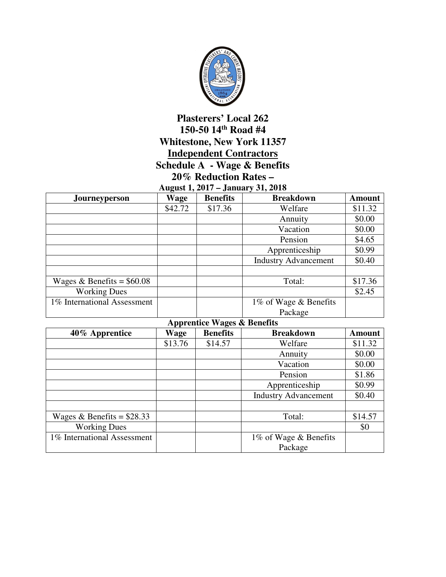

## **Plasterers' Local 262 150-50 14th Road #4 Whitestone, New York 11357 Independent Contractors Schedule A - Wage & Benefits 20% Reduction Rates –**

**August 1, 2017 – January 31, 2018** 

| Journeyperson               | <b>Wage</b> | <b>Benefits</b> | <b>Breakdown</b>            | <b>Amount</b> |
|-----------------------------|-------------|-----------------|-----------------------------|---------------|
|                             | \$42.72     | \$17.36         | Welfare                     | \$11.32       |
|                             |             |                 | Annuity                     | \$0.00        |
|                             |             |                 | Vacation                    | \$0.00        |
|                             |             |                 | Pension                     | \$4.65        |
|                             |             |                 | Apprenticeship              | \$0.99        |
|                             |             |                 | <b>Industry Advancement</b> | \$0.40        |
|                             |             |                 |                             |               |
| Wages & Benefits = $$60.08$ |             |                 | Total:                      | \$17.36       |
| <b>Working Dues</b>         |             |                 |                             | \$2.45        |
| 1% International Assessment |             |                 | 1% of Wage & Benefits       |               |
|                             |             |                 | Package                     |               |

**Apprentice Wages & Benefits** 

| 40% Apprentice              | r r<br>Wage | <b>Benefits</b> | <b>Breakdown</b>            | <b>Amount</b> |
|-----------------------------|-------------|-----------------|-----------------------------|---------------|
|                             | \$13.76     | \$14.57         | Welfare                     | \$11.32       |
|                             |             |                 | Annuity                     | \$0.00        |
|                             |             |                 | Vacation                    | \$0.00        |
|                             |             |                 | Pension                     | \$1.86        |
|                             |             |                 | Apprenticeship              | \$0.99        |
|                             |             |                 | <b>Industry Advancement</b> | \$0.40        |
|                             |             |                 |                             |               |
| Wages & Benefits = $$28.33$ |             |                 | Total:                      | \$14.57       |
| <b>Working Dues</b>         |             |                 |                             | \$0           |
| 1% International Assessment |             |                 | 1% of Wage & Benefits       |               |
|                             |             |                 | Package                     |               |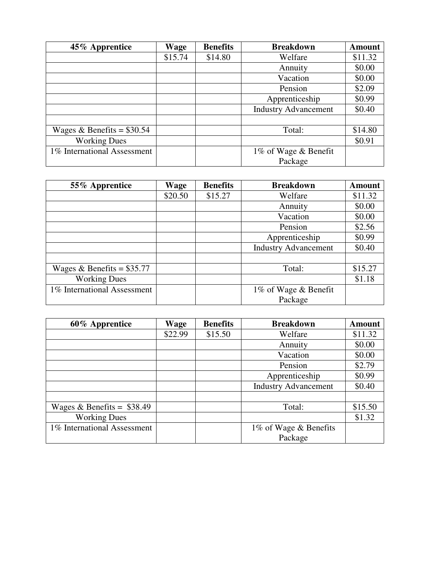| 45% Apprentice              | Wage    | <b>Benefits</b> | <b>Breakdown</b>            | <b>Amount</b> |
|-----------------------------|---------|-----------------|-----------------------------|---------------|
|                             | \$15.74 | \$14.80         | Welfare                     | \$11.32       |
|                             |         |                 | Annuity                     | \$0.00        |
|                             |         |                 | Vacation                    | \$0.00        |
|                             |         |                 | Pension                     | \$2.09        |
|                             |         |                 | Apprenticeship              | \$0.99        |
|                             |         |                 | <b>Industry Advancement</b> | \$0.40        |
|                             |         |                 |                             |               |
| Wages & Benefits = $$30.54$ |         |                 | Total:                      | \$14.80       |
| <b>Working Dues</b>         |         |                 |                             | \$0.91        |
| 1% International Assessment |         |                 | 1% of Wage & Benefit        |               |
|                             |         |                 | Package                     |               |

| 55% Apprentice              | Wage    | <b>Benefits</b> | <b>Breakdown</b>            | <b>Amount</b> |
|-----------------------------|---------|-----------------|-----------------------------|---------------|
|                             | \$20.50 | \$15.27         | Welfare                     | \$11.32       |
|                             |         |                 | Annuity                     | \$0.00        |
|                             |         |                 | Vacation                    | \$0.00        |
|                             |         |                 | Pension                     | \$2.56        |
|                             |         |                 | Apprenticeship              | \$0.99        |
|                             |         |                 | <b>Industry Advancement</b> | \$0.40        |
|                             |         |                 |                             |               |
| Wages & Benefits = $$35.77$ |         |                 | Total:                      | \$15.27       |
| <b>Working Dues</b>         |         |                 |                             | \$1.18        |
| 1% International Assessment |         |                 | 1% of Wage & Benefit        |               |
|                             |         |                 | Package                     |               |

| 60% Apprentice              | Wage    | <b>Benefits</b> | <b>Breakdown</b>            | <b>Amount</b> |
|-----------------------------|---------|-----------------|-----------------------------|---------------|
|                             | \$22.99 | \$15.50         | Welfare                     | \$11.32       |
|                             |         |                 | Annuity                     | \$0.00        |
|                             |         |                 | Vacation                    | \$0.00        |
|                             |         |                 | Pension                     | \$2.79        |
|                             |         |                 | Apprenticeship              | \$0.99        |
|                             |         |                 | <b>Industry Advancement</b> | \$0.40        |
|                             |         |                 |                             |               |
| Wages & Benefits = $$38.49$ |         |                 | Total:                      | \$15.50       |
| <b>Working Dues</b>         |         |                 |                             | \$1.32        |
| 1% International Assessment |         |                 | 1% of Wage & Benefits       |               |
|                             |         |                 | Package                     |               |